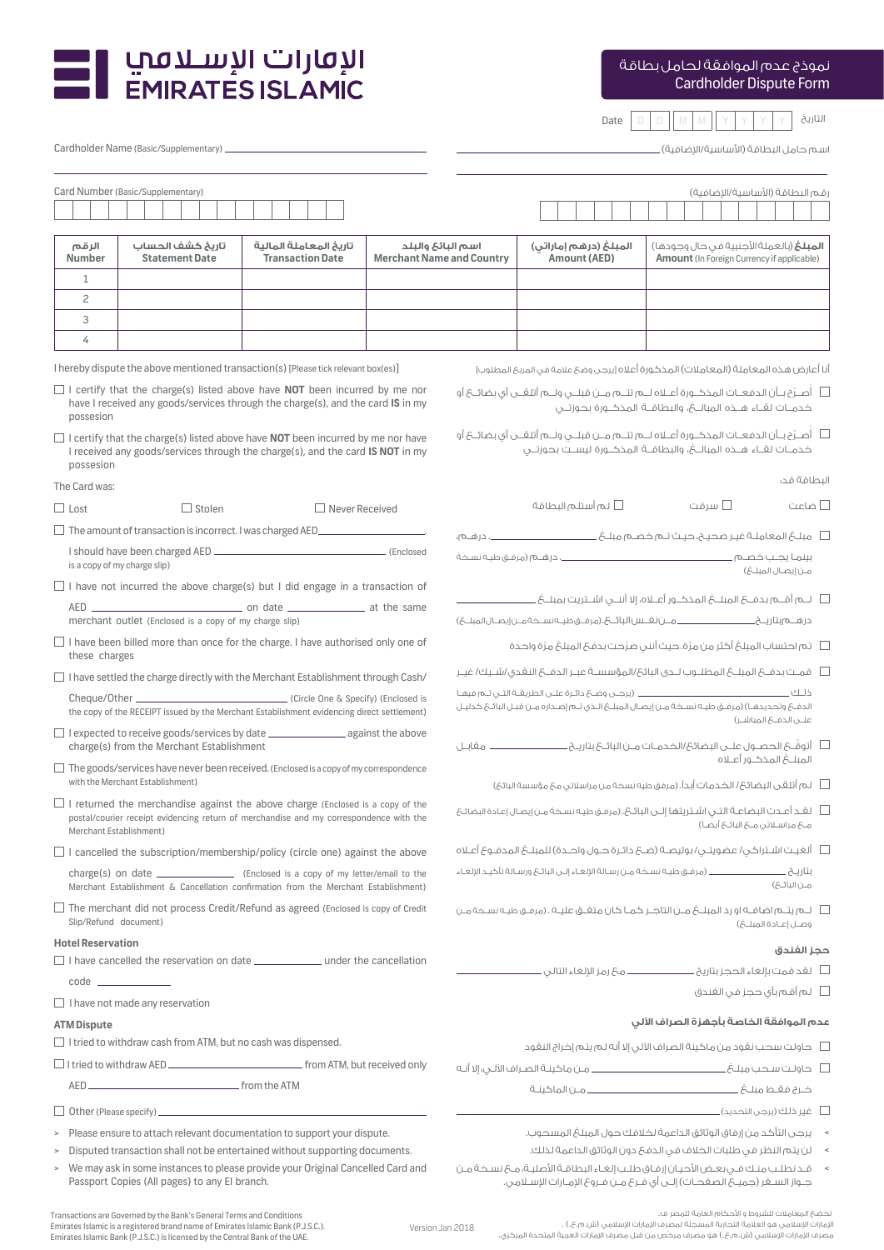

Date D D M M Y Y Y Y التاريخ

اسـم حامل البطاقة (الأساسية/الإضافية) ـ

| $\blacksquare$ الإ $\blacksquare$ الإ $\blacksquare$ الإ<br><b>EMIRATES ISLAMIC</b> |
|-------------------------------------------------------------------------------------|
|                                                                                     |

Cardholder Name (Basic/Supplementary)

|                                                                                                                                                                                              | Card Number (Basic/Supplementary)                                                       |                                                                                        |                                                                                                                                            |                                                                                                   |                                                                                        |                                                                                                     | رقم البطاقة (الأساسية/الإضافية)   |  |
|----------------------------------------------------------------------------------------------------------------------------------------------------------------------------------------------|-----------------------------------------------------------------------------------------|----------------------------------------------------------------------------------------|--------------------------------------------------------------------------------------------------------------------------------------------|---------------------------------------------------------------------------------------------------|----------------------------------------------------------------------------------------|-----------------------------------------------------------------------------------------------------|-----------------------------------|--|
|                                                                                                                                                                                              |                                                                                         |                                                                                        |                                                                                                                                            |                                                                                                   |                                                                                        |                                                                                                     |                                   |  |
| الرقم<br>Number                                                                                                                                                                              | تاريخ كشف الحساب<br><b>Statement Date</b>                                               | تاريخ المعاملة المالية<br><b>Transaction Date</b>                                      |                                                                                                                                            | اسم البائځ والبلد<br><b>Merchant Name and Country</b>                                             | المبلغ (درهم إماراتي)<br>Amount (AED)                                                  | <b>المبلغ</b> (بالعملة الأجنبية في حال وجودها)<br><b>Amount</b> (In Foreign Currency if applicable) |                                   |  |
| $\mathbf{1}$                                                                                                                                                                                 |                                                                                         |                                                                                        |                                                                                                                                            |                                                                                                   |                                                                                        |                                                                                                     |                                   |  |
| $\overline{c}$                                                                                                                                                                               |                                                                                         |                                                                                        |                                                                                                                                            |                                                                                                   |                                                                                        |                                                                                                     |                                   |  |
| 3                                                                                                                                                                                            |                                                                                         |                                                                                        |                                                                                                                                            |                                                                                                   |                                                                                        |                                                                                                     |                                   |  |
| 4                                                                                                                                                                                            |                                                                                         |                                                                                        |                                                                                                                                            |                                                                                                   |                                                                                        |                                                                                                     |                                   |  |
|                                                                                                                                                                                              |                                                                                         | I hereby dispute the above mentioned transaction(s) [Please tick relevant box(es)]     |                                                                                                                                            |                                                                                                   | أنا أعارض هذه المعاملة (المعاملات) المذكورة أعلاه [يرجى وضعَ علامة فى المربعَ المطلوب] |                                                                                                     |                                   |  |
| $\Box$ I certify that the charge(s) listed above have <b>NOT</b> been incurred by me nor<br>have I received any goods/services through the charge(s), and the card IS in my<br>possesion     |                                                                                         |                                                                                        | أصـر نَّ بـأن الدفعـات المذكــورة أعــلاه لــه تتــه مــن قبلــى ولَــه أتلقــى أى بضائــ6 أو $\Box$                                       |                                                                                                   |                                                                                        |                                                                                                     |                                   |  |
| $\Box$ I certify that the charge(s) listed above have <b>NOT</b> been incurred by me nor have<br>I received any goods/services through the charge(s), and the card IS NOT in my<br>possesion |                                                                                         |                                                                                        | أصـر ن بـأن الدفعـات المذكــورة أعــلاه لــه تتــه مــن قبلــى ولــه أتلقــى أى بضائــ6 أو $\Box$                                          |                                                                                                   |                                                                                        |                                                                                                     |                                   |  |
| The Card was:                                                                                                                                                                                |                                                                                         |                                                                                        |                                                                                                                                            |                                                                                                   |                                                                                        |                                                                                                     | الىطاقة قد:                       |  |
| $\Box$ Lost                                                                                                                                                                                  | $\Box$ Stolen                                                                           | $\Box$ Never Received                                                                  |                                                                                                                                            |                                                                                                   | لم أستلم البطاقة $\Box$                                                                | ے سرقت                                                                                              | □ ضاعت                            |  |
|                                                                                                                                                                                              |                                                                                         |                                                                                        |                                                                                                                                            |                                                                                                   |                                                                                        |                                                                                                     |                                   |  |
|                                                                                                                                                                                              |                                                                                         |                                                                                        |                                                                                                                                            |                                                                                                   |                                                                                        |                                                                                                     |                                   |  |
|                                                                                                                                                                                              | is a copy of my charge slip)                                                            |                                                                                        |                                                                                                                                            |                                                                                                   |                                                                                        |                                                                                                     | مـن إيصـال المبلــكُ)             |  |
| $\Box$ I have not incurred the above charge(s) but I did engage in a transaction of                                                                                                          |                                                                                         |                                                                                        |                                                                                                                                            |                                                                                                   |                                                                                        |                                                                                                     |                                   |  |
| merchant outlet (Enclosed is a copy of my charge slip)                                                                                                                                       |                                                                                         |                                                                                        |                                                                                                                                            |                                                                                                   |                                                                                        |                                                                                                     |                                   |  |
| these charges                                                                                                                                                                                |                                                                                         | $\Box$ I have been billed more than once for the charge. I have authorised only one of |                                                                                                                                            |                                                                                                   | □ تم احتساب المبلغ أكثر من مرّة. حيث أننى صرّحت بدفعَ المبلغ مرّة واحدة                |                                                                                                     |                                   |  |
|                                                                                                                                                                                              | $\Box$ I have settled the charge directly with the Merchant Establishment through Cash/ |                                                                                        |                                                                                                                                            |                                                                                                   |                                                                                        |                                                                                                     |                                   |  |
| the copy of the RECEIPT issued by the Merchant Establishment evidencing direct settlement)                                                                                                   |                                                                                         |                                                                                        | الدفعُ وتحديدهـا) (مرفــق طيــه نســخة مــن إيصـال المبلــغ الــذي تــم إصــداره مــن قبــل البائـع كـدليـل                                |                                                                                                   |                                                                                        |                                                                                                     |                                   |  |
| $\Box$ I expected to receive goods/services by date $\Box$ against the above<br>charge(s) from the Merchant Establishment                                                                    |                                                                                         |                                                                                        | □ أتوقَّـعَ الحصـول علــى البضائعَ/الخدمـات مــن البائــعَ بتاريــخ ـــــــــــــــــــــــــــــــ مقابــل                                |                                                                                                   |                                                                                        |                                                                                                     |                                   |  |
| $\Box$ The goods/services have never been received. (Enclosed is a copy of my correspondence<br>with the Merchant Establishment)                                                             |                                                                                         |                                                                                        | □ لم أتلقى البضائحُ/ الخدمات أبداً. (مرفق طيه نسخة من مراسلاتى معَ مؤسسة البائعُ)                                                          |                                                                                                   |                                                                                        |                                                                                                     |                                   |  |
| $\Box$ I returned the merchandise against the above charge (Enclosed is a copy of the<br>postal/courier receipt evidencing return of merchandise and my correspondence with the              |                                                                                         |                                                                                        | ـــا     لقــد أعــدت البضاعــة التـــى اشــتريتها إلــى البائــ6. (مرفــق طيـه نســخـة مــن إيصـال إعـادة البضائـع                        |                                                                                                   |                                                                                        |                                                                                                     |                                   |  |
| Merchant Establishment)                                                                                                                                                                      |                                                                                         |                                                                                        | م& مراسـلاتی م& البائـ& أيضـاً)                                                                                                            |                                                                                                   |                                                                                        |                                                                                                     |                                   |  |
| $\Box$ I cancelled the subscription/membership/policy (circle one) against the above                                                                                                         |                                                                                         |                                                                                        |                                                                                                                                            |                                                                                                   |                                                                                        |                                                                                                     |                                   |  |
| charge(s) on date _______________________ (Enclosed is a copy of my letter/email to the<br>Merchant Establishment & Cancellation confirmation from the Merchant Establishment)               |                                                                                         |                                                                                        | مــر ٰ) البائــ6)                                                                                                                          |                                                                                                   |                                                                                        |                                                                                                     |                                   |  |
| $\Box$ The merchant did not process Credit/Refund as agreed (Enclosed is copy of Credit<br>Slip/Refund document)                                                                             |                                                                                         |                                                                                        | وصل إعادة المبلغ)                                                                                                                          |                                                                                                   |                                                                                        |                                                                                                     |                                   |  |
| <b>Hotel Reservation</b>                                                                                                                                                                     |                                                                                         |                                                                                        |                                                                                                                                            |                                                                                                   |                                                                                        |                                                                                                     | ححز الفندق                        |  |
|                                                                                                                                                                                              |                                                                                         | □ I have cancelled the reservation on date _________________ under the cancellation    |                                                                                                                                            |                                                                                                   |                                                                                        |                                                                                                     |                                   |  |
|                                                                                                                                                                                              | $code$ $\qquad$                                                                         |                                                                                        |                                                                                                                                            |                                                                                                   |                                                                                        |                                                                                                     | لم أقم بأى حجز فى الغندق <b>[</b> |  |
|                                                                                                                                                                                              | $\Box$ I have not made any reservation                                                  |                                                                                        |                                                                                                                                            |                                                                                                   |                                                                                        |                                                                                                     |                                   |  |
| <b>ATM Dispute</b>                                                                                                                                                                           | $\Box$ I tried to withdraw cash from ATM, but no cash was dispensed.                    |                                                                                        |                                                                                                                                            | عدم الموافقة الخاصة بأجهزة الصراف الآلى                                                           |                                                                                        |                                                                                                     |                                   |  |
|                                                                                                                                                                                              |                                                                                         |                                                                                        |                                                                                                                                            |                                                                                                   |                                                                                        |                                                                                                     |                                   |  |
|                                                                                                                                                                                              |                                                                                         |                                                                                        |                                                                                                                                            |                                                                                                   |                                                                                        |                                                                                                     |                                   |  |
|                                                                                                                                                                                              |                                                                                         | $\Box$ Other (Please specify) $\Box$                                                   |                                                                                                                                            |                                                                                                   |                                                                                        |                                                                                                     |                                   |  |
|                                                                                                                                                                                              |                                                                                         |                                                                                        |                                                                                                                                            |                                                                                                   |                                                                                        |                                                                                                     |                                   |  |
| Please ensure to attach relevant documentation to support your dispute.<br>$\geq$<br>Disputed transaction shall not be entertained without supporting documents.<br>$\geq$                   |                                                                                         |                                                                                        | >       يرجى التأكد من إرفاق الوثائق الداعمة لخلافك حول المبلغ المسحوب.<br>لن يتم النظر في طلبات الخلاف في الدفع دون الوثائق الداعمة لذلك. |                                                                                                   |                                                                                        |                                                                                                     |                                   |  |
| > We may ask in some instances to please provide your Original Cancelled Card and                                                                                                            |                                                                                         |                                                                                        |                                                                                                                                            | > قد نطلب منك فـــــر بعــض الأحيــان إرفــاق طلــب إلغــاء البطاقــة الأصليـة، مــ6 نســخـة مــن |                                                                                        |                                                                                                     |                                   |  |

Version Jan 2018

تخضعَ المعاملات للشروط و الأحكام العامة للمصر ف.<br>لإمارات الإسلامي هو العلامة التجارية المسجلة لمصرف الإمارات الإسلامي (ش.م.ع.) .<br>مصرف الإمارات الإسلامي (ش.م.ع)، فو مصرف مرخّص من قبل مصرف الإمارات العربية المتحدة المركزي.

جـواز السـفر (جميـع الصفحـات) إلـى أي فـرع مـن فـروع الإمـارات الإسـلامي.

Transactions are Governed by the Bank's General Terms and Conditions<br>Emirates Islamic is a registered brand name of Emirates Islamic Bank (P.J.S.C.).<br>Emirates Islamic Bank (P.J.S.C.) is licensed by the Central Bank of the

Passport Copies (All pages) to any EI branch.